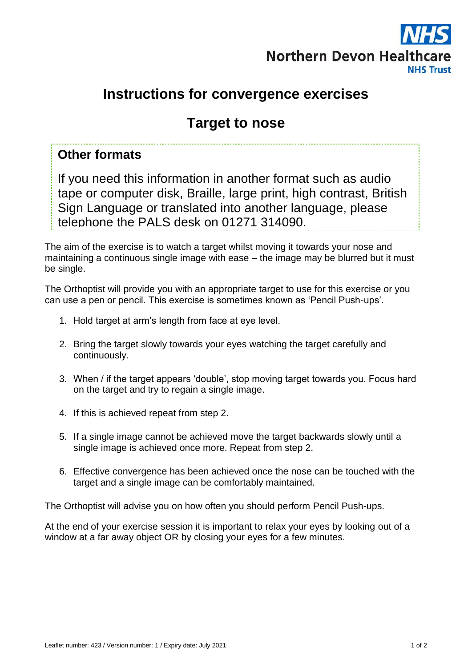

# **Instructions for convergence exercises**

# **Target to nose**

## **Other formats**

If you need this information in another format such as audio tape or computer disk, Braille, large print, high contrast, British Sign Language or translated into another language, please telephone the PALS desk on 01271 314090.

The aim of the exercise is to watch a target whilst moving it towards your nose and maintaining a continuous single image with ease – the image may be blurred but it must be single.

The Orthoptist will provide you with an appropriate target to use for this exercise or you can use a pen or pencil. This exercise is sometimes known as 'Pencil Push-ups'.

- 1. Hold target at arm's length from face at eye level.
- 2. Bring the target slowly towards your eyes watching the target carefully and continuously.
- 3. When / if the target appears 'double', stop moving target towards you. Focus hard on the target and try to regain a single image.
- 4. If this is achieved repeat from step 2.
- 5. If a single image cannot be achieved move the target backwards slowly until a single image is achieved once more. Repeat from step 2.
- 6. Effective convergence has been achieved once the nose can be touched with the target and a single image can be comfortably maintained.

The Orthoptist will advise you on how often you should perform Pencil Push-ups.

At the end of your exercise session it is important to relax your eyes by looking out of a window at a far away object OR by closing your eyes for a few minutes.